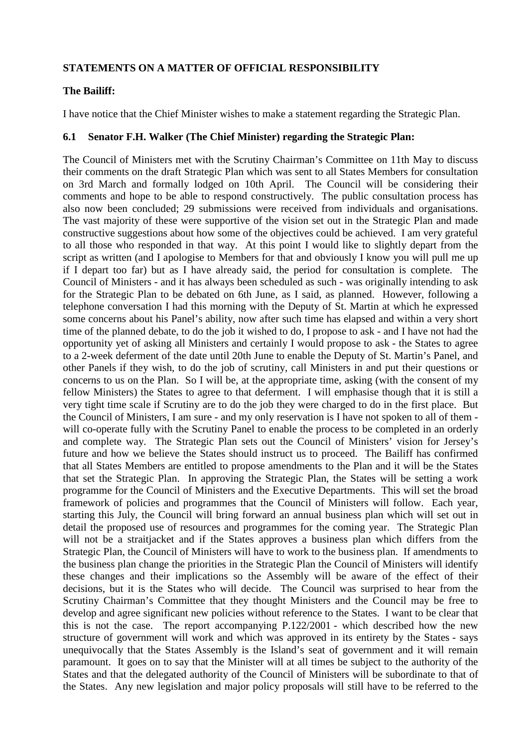# **STATEMENTS ON A MATTER OF OFFICIAL RESPONSIBILITY**

#### **The Bailiff:**

I have notice that the Chief Minister wishes to make a statement regarding the Strategic Plan.

#### **6.1 Senator F.H. Walker (The Chief Minister) regarding the Strategic Plan:**

The Council of Ministers met with the Scrutiny Chairman's Committee on 11th May to discuss their comments on the draft Strategic Plan which was sent to all States Members for consultation on 3rd March and formally lodged on 10th April. The Council will be considering their comments and hope to be able to respond constructively. The public consultation process has also now been concluded; 29 submissions were received from individuals and organisations. The vast majority of these were supportive of the vision set out in the Strategic Plan and made constructive suggestions about how some of the objectives could be achieved. I am very grateful to all those who responded in that way. At this point I would like to slightly depart from the script as written (and I apologise to Members for that and obviously I know you will pull me up if I depart too far) but as I have already said, the period for consultation is complete. The Council of Ministers - and it has always been scheduled as such - was originally intending to ask for the Strategic Plan to be debated on 6th June, as I said, as planned. However, following a telephone conversation I had this morning with the Deputy of St. Martin at which he expressed some concerns about his Panel's ability, now after such time has elapsed and within a very short time of the planned debate, to do the job it wished to do, I propose to ask - and I have not had the opportunity yet of asking all Ministers and certainly I would propose to ask - the States to agree to a 2-week deferment of the date until 20th June to enable the Deputy of St. Martin's Panel, and other Panels if they wish, to do the job of scrutiny, call Ministers in and put their questions or concerns to us on the Plan. So I will be, at the appropriate time, asking (with the consent of my fellow Ministers) the States to agree to that deferment. I will emphasise though that it is still a very tight time scale if Scrutiny are to do the job they were charged to do in the first place. But the Council of Ministers, I am sure - and my only reservation is I have not spoken to all of them will co-operate fully with the Scrutiny Panel to enable the process to be completed in an orderly and complete way. The Strategic Plan sets out the Council of Ministers' vision for Jersey's future and how we believe the States should instruct us to proceed. The Bailiff has confirmed that all States Members are entitled to propose amendments to the Plan and it will be the States that set the Strategic Plan. In approving the Strategic Plan, the States will be setting a work programme for the Council of Ministers and the Executive Departments. This will set the broad framework of policies and programmes that the Council of Ministers will follow. Each year, starting this July, the Council will bring forward an annual business plan which will set out in detail the proposed use of resources and programmes for the coming year. The Strategic Plan will not be a straitjacket and if the States approves a business plan which differs from the Strategic Plan, the Council of Ministers will have to work to the business plan. If amendments to the business plan change the priorities in the Strategic Plan the Council of Ministers will identify these changes and their implications so the Assembly will be aware of the effect of their decisions, but it is the States who will decide. The Council was surprised to hear from the Scrutiny Chairman's Committee that they thought Ministers and the Council may be free to develop and agree significant new policies without reference to the States. I want to be clear that this is not the case. The report accompanying P.122/2001 - which described how the new structure of government will work and which was approved in its entirety by the States - says unequivocally that the States Assembly is the Island's seat of government and it will remain paramount. It goes on to say that the Minister will at all times be subject to the authority of the States and that the delegated authority of the Council of Ministers will be subordinate to that of the States. Any new legislation and major policy proposals will still have to be referred to the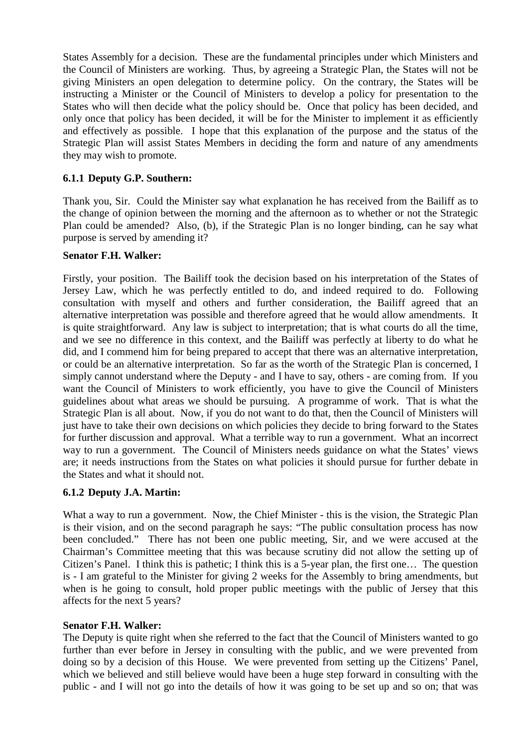States Assembly for a decision. These are the fundamental principles under which Ministers and the Council of Ministers are working. Thus, by agreeing a Strategic Plan, the States will not be giving Ministers an open delegation to determine policy. On the contrary, the States will be instructing a Minister or the Council of Ministers to develop a policy for presentation to the States who will then decide what the policy should be. Once that policy has been decided, and only once that policy has been decided, it will be for the Minister to implement it as efficiently and effectively as possible. I hope that this explanation of the purpose and the status of the Strategic Plan will assist States Members in deciding the form and nature of any amendments they may wish to promote.

# **6.1.1 Deputy G.P. Southern:**

Thank you, Sir. Could the Minister say what explanation he has received from the Bailiff as to the change of opinion between the morning and the afternoon as to whether or not the Strategic Plan could be amended? Also, (b), if the Strategic Plan is no longer binding, can he say what purpose is served by amending it?

## **Senator F.H. Walker:**

Firstly, your position. The Bailiff took the decision based on his interpretation of the States of Jersey Law, which he was perfectly entitled to do, and indeed required to do. Following consultation with myself and others and further consideration, the Bailiff agreed that an alternative interpretation was possible and therefore agreed that he would allow amendments. It is quite straightforward. Any law is subject to interpretation; that is what courts do all the time, and we see no difference in this context, and the Bailiff was perfectly at liberty to do what he did, and I commend him for being prepared to accept that there was an alternative interpretation, or could be an alternative interpretation. So far as the worth of the Strategic Plan is concerned, I simply cannot understand where the Deputy - and I have to say, others - are coming from. If you want the Council of Ministers to work efficiently, you have to give the Council of Ministers guidelines about what areas we should be pursuing. A programme of work. That is what the Strategic Plan is all about. Now, if you do not want to do that, then the Council of Ministers will just have to take their own decisions on which policies they decide to bring forward to the States for further discussion and approval. What a terrible way to run a government. What an incorrect way to run a government. The Council of Ministers needs guidance on what the States' views are; it needs instructions from the States on what policies it should pursue for further debate in the States and what it should not.

## **6.1.2 Deputy J.A. Martin:**

What a way to run a government. Now, the Chief Minister - this is the vision, the Strategic Plan is their vision, and on the second paragraph he says: "The public consultation process has now been concluded." There has not been one public meeting, Sir, and we were accused at the Chairman's Committee meeting that this was because scrutiny did not allow the setting up of Citizen's Panel. I think this is pathetic; I think this is a 5-year plan, the first one… The question is - I am grateful to the Minister for giving 2 weeks for the Assembly to bring amendments, but when is he going to consult, hold proper public meetings with the public of Jersey that this affects for the next 5 years?

#### **Senator F.H. Walker:**

The Deputy is quite right when she referred to the fact that the Council of Ministers wanted to go further than ever before in Jersey in consulting with the public, and we were prevented from doing so by a decision of this House. We were prevented from setting up the Citizens' Panel, which we believed and still believe would have been a huge step forward in consulting with the public - and I will not go into the details of how it was going to be set up and so on; that was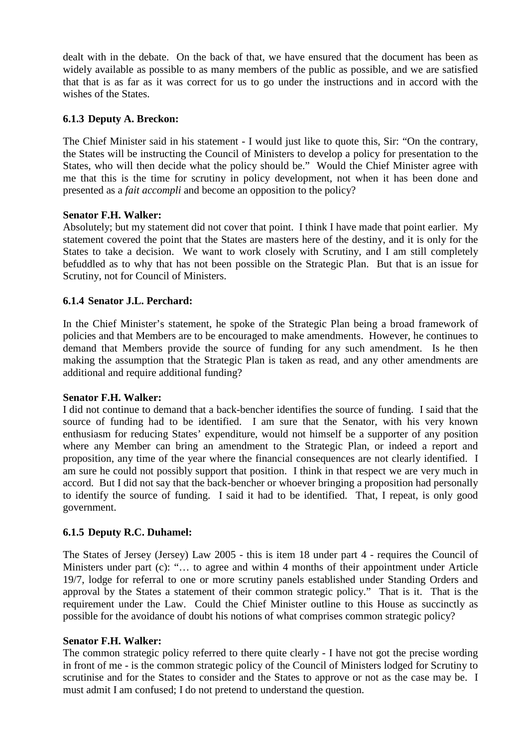dealt with in the debate. On the back of that, we have ensured that the document has been as widely available as possible to as many members of the public as possible, and we are satisfied that that is as far as it was correct for us to go under the instructions and in accord with the wishes of the States.

## **6.1.3 Deputy A. Breckon:**

The Chief Minister said in his statement - I would just like to quote this, Sir: "On the contrary, the States will be instructing the Council of Ministers to develop a policy for presentation to the States, who will then decide what the policy should be." Would the Chief Minister agree with me that this is the time for scrutiny in policy development, not when it has been done and presented as a *fait accompli* and become an opposition to the policy?

#### **Senator F.H. Walker:**

Absolutely; but my statement did not cover that point. I think I have made that point earlier. My statement covered the point that the States are masters here of the destiny, and it is only for the States to take a decision. We want to work closely with Scrutiny, and I am still completely befuddled as to why that has not been possible on the Strategic Plan. But that is an issue for Scrutiny, not for Council of Ministers.

## **6.1.4 Senator J.L. Perchard:**

In the Chief Minister's statement, he spoke of the Strategic Plan being a broad framework of policies and that Members are to be encouraged to make amendments. However, he continues to demand that Members provide the source of funding for any such amendment. Is he then making the assumption that the Strategic Plan is taken as read, and any other amendments are additional and require additional funding?

#### **Senator F.H. Walker:**

I did not continue to demand that a back-bencher identifies the source of funding. I said that the source of funding had to be identified. I am sure that the Senator, with his very known enthusiasm for reducing States' expenditure, would not himself be a supporter of any position where any Member can bring an amendment to the Strategic Plan, or indeed a report and proposition, any time of the year where the financial consequences are not clearly identified. I am sure he could not possibly support that position. I think in that respect we are very much in accord. But I did not say that the back-bencher or whoever bringing a proposition had personally to identify the source of funding. I said it had to be identified. That, I repeat, is only good government.

## **6.1.5 Deputy R.C. Duhamel:**

The States of Jersey (Jersey) Law 2005 - this is item 18 under part 4 - requires the Council of Ministers under part (c): "… to agree and within 4 months of their appointment under Article 19/7, lodge for referral to one or more scrutiny panels established under Standing Orders and approval by the States a statement of their common strategic policy." That is it. That is the requirement under the Law. Could the Chief Minister outline to this House as succinctly as possible for the avoidance of doubt his notions of what comprises common strategic policy?

#### **Senator F.H. Walker:**

The common strategic policy referred to there quite clearly - I have not got the precise wording in front of me - is the common strategic policy of the Council of Ministers lodged for Scrutiny to scrutinise and for the States to consider and the States to approve or not as the case may be. I must admit I am confused; I do not pretend to understand the question.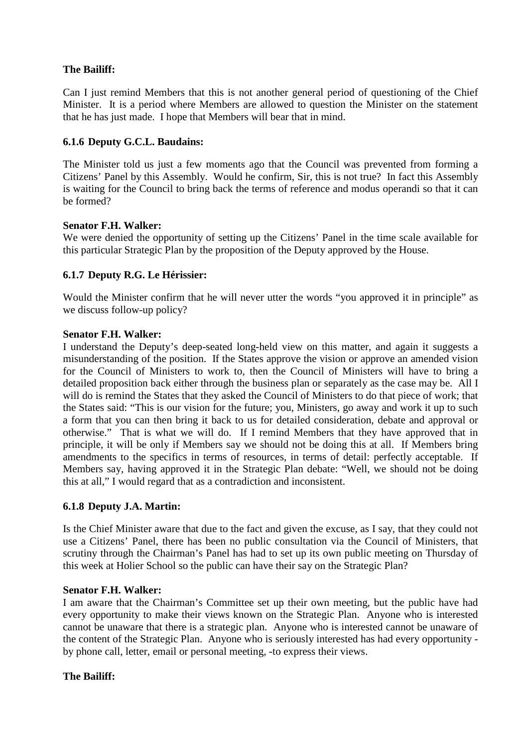## **The Bailiff:**

Can I just remind Members that this is not another general period of questioning of the Chief Minister. It is a period where Members are allowed to question the Minister on the statement that he has just made. I hope that Members will bear that in mind.

### **6.1.6 Deputy G.C.L. Baudains:**

The Minister told us just a few moments ago that the Council was prevented from forming a Citizens' Panel by this Assembly. Would he confirm, Sir, this is not true? In fact this Assembly is waiting for the Council to bring back the terms of reference and modus operandi so that it can be formed?

#### **Senator F.H. Walker:**

We were denied the opportunity of setting up the Citizens' Panel in the time scale available for this particular Strategic Plan by the proposition of the Deputy approved by the House.

## **6.1.7 Deputy R.G. Le Hérissier:**

Would the Minister confirm that he will never utter the words "you approved it in principle" as we discuss follow-up policy?

#### **Senator F.H. Walker:**

I understand the Deputy's deep-seated long-held view on this matter, and again it suggests a misunderstanding of the position. If the States approve the vision or approve an amended vision for the Council of Ministers to work to, then the Council of Ministers will have to bring a detailed proposition back either through the business plan or separately as the case may be. All I will do is remind the States that they asked the Council of Ministers to do that piece of work; that the States said: "This is our vision for the future; you, Ministers, go away and work it up to such a form that you can then bring it back to us for detailed consideration, debate and approval or otherwise." That is what we will do. If I remind Members that they have approved that in principle, it will be only if Members say we should not be doing this at all. If Members bring amendments to the specifics in terms of resources, in terms of detail: perfectly acceptable. If Members say, having approved it in the Strategic Plan debate: "Well, we should not be doing this at all," I would regard that as a contradiction and inconsistent.

#### **6.1.8 Deputy J.A. Martin:**

Is the Chief Minister aware that due to the fact and given the excuse, as I say, that they could not use a Citizens' Panel, there has been no public consultation via the Council of Ministers, that scrutiny through the Chairman's Panel has had to set up its own public meeting on Thursday of this week at Holier School so the public can have their say on the Strategic Plan?

#### **Senator F.H. Walker:**

I am aware that the Chairman's Committee set up their own meeting, but the public have had every opportunity to make their views known on the Strategic Plan. Anyone who is interested cannot be unaware that there is a strategic plan. Anyone who is interested cannot be unaware of the content of the Strategic Plan. Anyone who is seriously interested has had every opportunity by phone call, letter, email or personal meeting, -to express their views.

## **The Bailiff:**